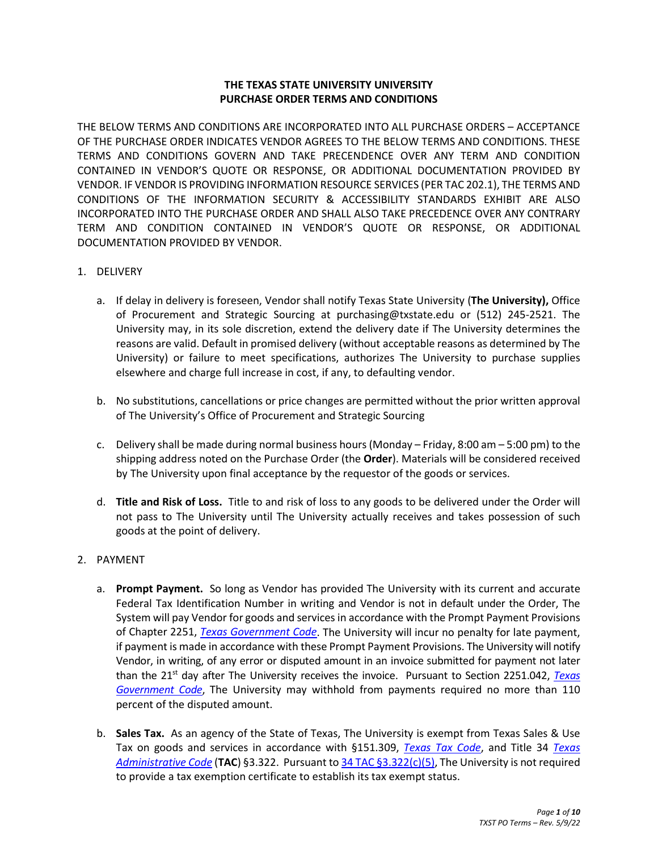# **THE TEXAS STATE UNIVERSITY UNIVERSITY PURCHASE ORDER TERMS AND CONDITIONS**

THE BELOW TERMS AND CONDITIONS ARE INCORPORATED INTO ALL PURCHASE ORDERS – ACCEPTANCE OF THE PURCHASE ORDER INDICATES VENDOR AGREES TO THE BELOW TERMS AND CONDITIONS. THESE TERMS AND CONDITIONS GOVERN AND TAKE PRECENDENCE OVER ANY TERM AND CONDITION CONTAINED IN VENDOR'S QUOTE OR RESPONSE, OR ADDITIONAL DOCUMENTATION PROVIDED BY VENDOR. IF VENDOR IS PROVIDING INFORMATION RESOURCE SERVICES (PER TAC 202.1), THE TERMS AND CONDITIONS OF THE INFORMATION SECURITY & ACCESSIBILITY STANDARDS EXHIBIT ARE ALSO INCORPORATED INTO THE PURCHASE ORDER AND SHALL ALSO TAKE PRECEDENCE OVER ANY CONTRARY TERM AND CONDITION CONTAINED IN VENDOR'S QUOTE OR RESPONSE, OR ADDITIONAL DOCUMENTATION PROVIDED BY VENDOR.

# 1. DELIVERY

- a. If delay in delivery is foreseen, Vendor shall notify Texas State University (**The University),** Office of Procurement and Strategic Sourcing at purchasing@txstate.edu or (512) 245-2521. The University may, in its sole discretion, extend the delivery date if The University determines the reasons are valid. Default in promised delivery (without acceptable reasons as determined by The University) or failure to meet specifications, authorizes The University to purchase supplies elsewhere and charge full increase in cost, if any, to defaulting vendor.
- b. No substitutions, cancellations or price changes are permitted without the prior written approval of The University's Office of Procurement and Strategic Sourcing
- c. Delivery shall be made during normal business hours (Monday Friday, 8:00 am 5:00 pm) to the shipping address noted on the Purchase Order (the **Order**). Materials will be considered received by The University upon final acceptance by the requestor of the goods or services.
- d. **Title and Risk of Loss.** Title to and risk of loss to any goods to be delivered under the Order will not pass to The University until The University actually receives and takes possession of such goods at the point of delivery.

## 2. PAYMENT

- a. **Prompt Payment.** So long as Vendor has provided The University with its current and accurate Federal Tax Identification Number in writing and Vendor is not in default under the Order, The System will pay Vendor for goods and services in accordance with the Prompt Payment Provisions of Chapter 2251, *[Texas Government Code](https://statutes.capitol.texas.gov/)*. The University will incur no penalty for late payment, if payment is made in accordance with these Prompt Payment Provisions. The University will notify Vendor, in writing, of any error or disputed amount in an invoice submitted for payment not later than the 21<sup>st</sup> day after The University receives the invoice. Pursuant to Section 2251.042, *Texas [Government Code](https://statutes.capitol.texas.gov/)*, The University may withhold from payments required no more than 110 percent of the disputed amount.
- b. **Sales Tax.** As an agency of the State of Texas, The University is exempt from Texas Sales & Use Tax on goods and services in accordance with §151.309, *Texas [Tax Code](https://statutes.capitol.texas.gov/)*, and Title 34 *[Texas](https://statutes.capitol.texas.gov/)  [Administrative Code](https://statutes.capitol.texas.gov/)* (**TAC**) §3.322. Pursuant t[o 34 TAC §3.322\(c\)\(5\),](https://texreg.sos.state.tx.us/public/readtac$ext.TacPage?sl=R&app=9&p_dir=&p_rloc=&p_tloc=&p_ploc=&pg=1&p_tac=&ti=34&pt=1&ch=3&rl=322) The University is not required to provide a tax exemption certificate to establish its tax exempt status.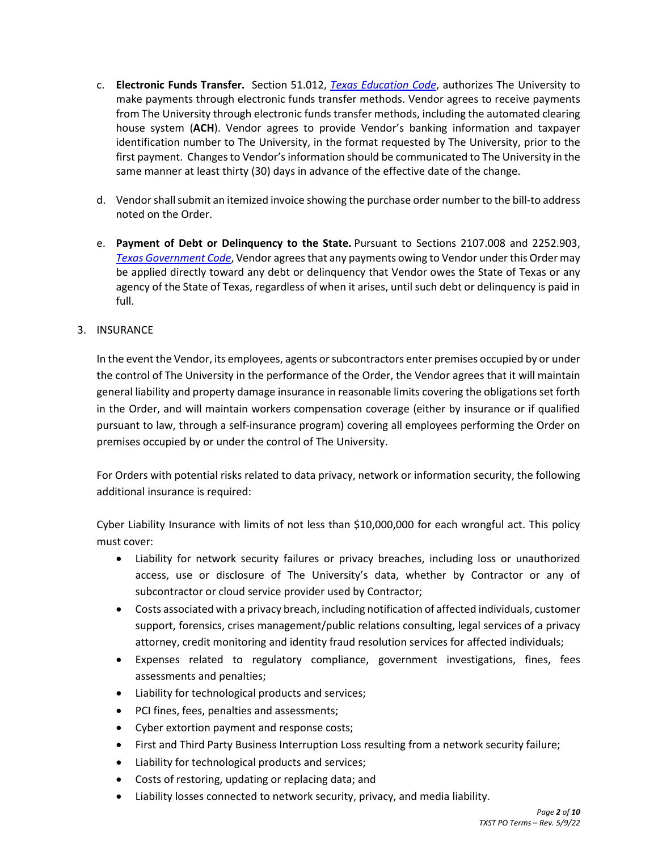- c. **Electronic Funds Transfer.** Section 51.012, *[Texas Education](https://statutes.capitol.texas.gov/) Code*, authorizes The University to make payments through electronic funds transfer methods. Vendor agrees to receive payments from The University through electronic funds transfer methods, including the automated clearing house system (**ACH**). Vendor agrees to provide Vendor's banking information and taxpayer identification number to The University, in the format requested by The University, prior to the first payment. Changes to Vendor's information should be communicated to The University in the same manner at least thirty (30) days in advance of the effective date of the change.
- d. Vendor shall submit an itemized invoice showing the purchase order number to the bill-to address noted on the Order.
- e. **Payment of Debt or Delinquency to the State.** Pursuant to Sections 2107.008 and 2252.903, *[Texas Government Code](https://statutes.capitol.texas.gov/)*, Vendor agrees that any payments owing to Vendor under this Order may be applied directly toward any debt or delinquency that Vendor owes the State of Texas or any agency of the State of Texas, regardless of when it arises, until such debt or delinquency is paid in full.
- 3. INSURANCE

In the event the Vendor, its employees, agents or subcontractors enter premises occupied by or under the control of The University in the performance of the Order, the Vendor agrees that it will maintain general liability and property damage insurance in reasonable limits covering the obligations set forth in the Order, and will maintain workers compensation coverage (either by insurance or if qualified pursuant to law, through a self-insurance program) covering all employees performing the Order on premises occupied by or under the control of The University.

For Orders with potential risks related to data privacy, network or information security, the following additional insurance is required:

Cyber Liability Insurance with limits of not less than \$10,000,000 for each wrongful act. This policy must cover:

- Liability for network security failures or privacy breaches, including loss or unauthorized access, use or disclosure of The University's data, whether by Contractor or any of subcontractor or cloud service provider used by Contractor;
- Costs associated with a privacy breach, including notification of affected individuals, customer support, forensics, crises management/public relations consulting, legal services of a privacy attorney, credit monitoring and identity fraud resolution services for affected individuals;
- Expenses related to regulatory compliance, government investigations, fines, fees assessments and penalties;
- Liability for technological products and services;
- PCI fines, fees, penalties and assessments;
- Cyber extortion payment and response costs;
- First and Third Party Business Interruption Loss resulting from a network security failure;
- Liability for technological products and services;
- Costs of restoring, updating or replacing data; and
- Liability losses connected to network security, privacy, and media liability.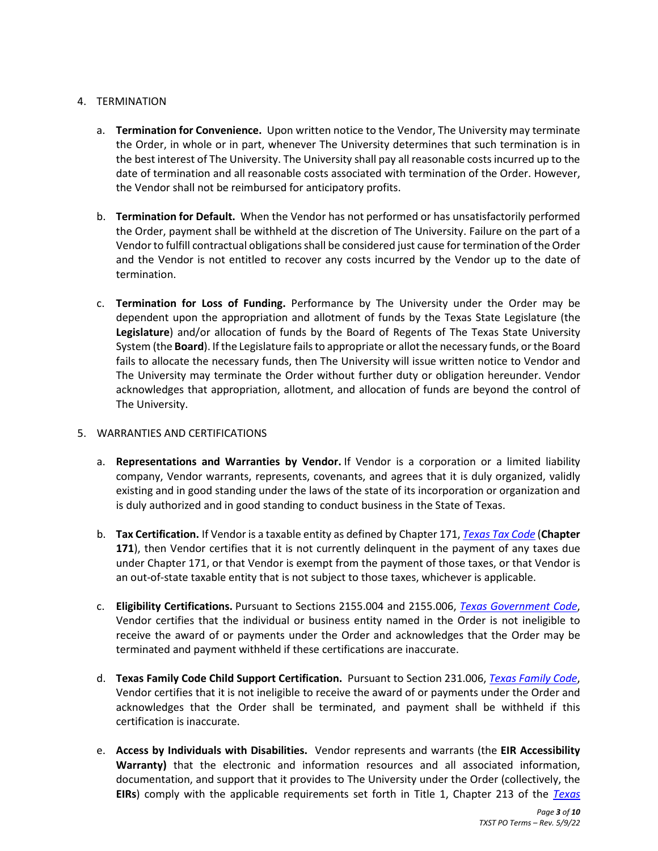## 4. TERMINATION

- a. **Termination for Convenience.** Upon written notice to the Vendor, The University may terminate the Order, in whole or in part, whenever The University determines that such termination is in the best interest of The University. The University shall pay all reasonable costs incurred up to the date of termination and all reasonable costs associated with termination of the Order. However, the Vendor shall not be reimbursed for anticipatory profits.
- b. **Termination for Default.** When the Vendor has not performed or has unsatisfactorily performed the Order, payment shall be withheld at the discretion of The University. Failure on the part of a Vendor to fulfill contractual obligations shall be considered just cause for termination of the Order and the Vendor is not entitled to recover any costs incurred by the Vendor up to the date of termination.
- c. **Termination for Loss of Funding.** Performance by The University under the Order may be dependent upon the appropriation and allotment of funds by the Texas State Legislature (the **Legislature**) and/or allocation of funds by the Board of Regents of The Texas State University System (the **Board**). If the Legislature fails to appropriate or allot the necessary funds, or the Board fails to allocate the necessary funds, then The University will issue written notice to Vendor and The University may terminate the Order without further duty or obligation hereunder. Vendor acknowledges that appropriation, allotment, and allocation of funds are beyond the control of The University.

# 5. WARRANTIES AND CERTIFICATIONS

- a. **Representations and Warranties by Vendor.** If Vendor is a corporation or a limited liability company, Vendor warrants, represents, covenants, and agrees that it is duly organized, validly existing and in good standing under the laws of the state of its incorporation or organization and is duly authorized and in good standing to conduct business in the State of Texas.
- b. **Tax Certification.** If Vendor is a taxable entity as defined by Chapter 171, *[Texas Tax Code](https://statutes.capitol.texas.gov/)* (**Chapter 171**), then Vendor certifies that it is not currently delinquent in the payment of any taxes due under Chapter 171, or that Vendor is exempt from the payment of those taxes, or that Vendor is an out-of-state taxable entity that is not subject to those taxes, whichever is applicable.
- c. **Eligibility Certifications.** Pursuant to Sections 2155.004 and 2155.006, *[Texas Government Code](https://statutes.capitol.texas.gov/)*, Vendor certifies that the individual or business entity named in the Order is not ineligible to receive the award of or payments under the Order and acknowledges that the Order may be terminated and payment withheld if these certifications are inaccurate.
- d. **Texas Family Code Child Support Certification.** Pursuant to Section 231.006, *[Texas Family Code](https://statutes.capitol.texas.gov/)*, Vendor certifies that it is not ineligible to receive the award of or payments under the Order and acknowledges that the Order shall be terminated, and payment shall be withheld if this certification is inaccurate.
- e. **Access by Individuals with Disabilities.** Vendor represents and warrants (the **EIR Accessibility Warranty)** that the electronic and information resources and all associated information, documentation, and support that it provides to The University under the Order (collectively, the **EIRs**) comply with the applicable requirements set forth in Title 1, Chapter 213 of the *[Texas](https://texreg.sos.state.tx.us/public/readtac$ext.viewtac)*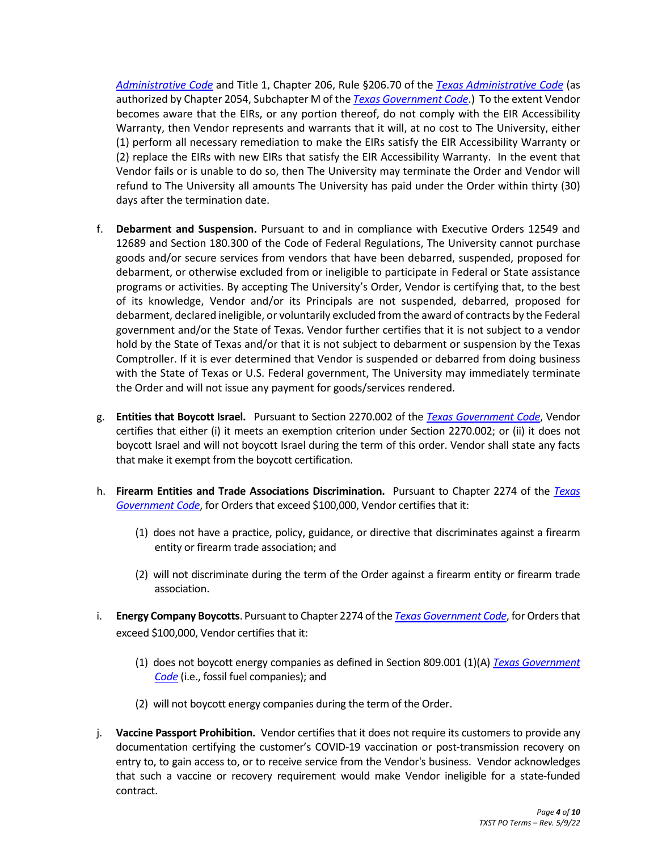*[Administrative Code](https://texreg.sos.state.tx.us/public/readtac$ext.viewtac)* and Title 1, Chapter 206, Rule §206.70 of the *[Texas Administrative Code](https://texreg.sos.state.tx.us/public/readtac$ext.viewtac)* (as authorized by Chapter 2054, Subchapter M of the *[Texas Government Code](https://statutes.capitol.texas.gov/)*.) To the extent Vendor becomes aware that the EIRs, or any portion thereof, do not comply with the EIR Accessibility Warranty, then Vendor represents and warrants that it will, at no cost to The University, either (1) perform all necessary remediation to make the EIRs satisfy the EIR Accessibility Warranty or (2) replace the EIRs with new EIRs that satisfy the EIR Accessibility Warranty. In the event that Vendor fails or is unable to do so, then The University may terminate the Order and Vendor will refund to The University all amounts The University has paid under the Order within thirty (30) days after the termination date.

- f. **Debarment and Suspension.** Pursuant to and in compliance with Executive Orders 12549 and 12689 and Section 180.300 of the Code of Federal Regulations, The University cannot purchase goods and/or secure services from vendors that have been debarred, suspended, proposed for debarment, or otherwise excluded from or ineligible to participate in Federal or State assistance programs or activities. By accepting The University's Order, Vendor is certifying that, to the best of its knowledge, Vendor and/or its Principals are not suspended, debarred, proposed for debarment, declared ineligible, or voluntarily excluded from the award of contracts by the Federal government and/or the State of Texas. Vendor further certifies that it is not subject to a vendor hold by the State of Texas and/or that it is not subject to debarment or suspension by the Texas Comptroller. If it is ever determined that Vendor is suspended or debarred from doing business with the State of Texas or U.S. Federal government, The University may immediately terminate the Order and will not issue any payment for goods/services rendered.
- g. **Entities that Boycott Israel.** Pursuant to Section 2270.002 of the *[Texas Government Code](https://statutes.capitol.texas.gov/)*, Vendor certifies that either (i) it meets an exemption criterion under Section 2270.002; or (ii) it does not boycott Israel and will not boycott Israel during the term of this order. Vendor shall state any facts that make it exempt from the boycott certification.
- h. **Firearm Entities and Trade Associations Discrimination.** Pursuant to Chapter 2274 of the *[Texas](https://statutes.capitol.texas.gov/) [Government Code](https://statutes.capitol.texas.gov/)*, for Orders that exceed \$100,000, Vendor certifies that it:
	- (1) does not have a practice, policy, guidance, or directive that discriminates against a firearm entity or firearm trade association; and
	- (2) will not discriminate during the term of the Order against a firearm entity or firearm trade association.
- i. **Energy Company Boycotts**. Pursuant to Chapter 2274 of the *[Texas Government Code](https://statutes.capitol.texas.gov/)*, for Orders that exceed \$100,000, Vendor certifies that it:
	- (1) does not boycott energy companies as defined in Section 809.001 (1)(A) *[Texas Government](https://statutes.capitol.texas.gov/)  [Code](https://statutes.capitol.texas.gov/)* (i.e., fossil fuel companies); and
	- (2) will not boycott energy companies during the term of the Order.
- j. **Vaccine Passport Prohibition.** Vendor certifies that it does not require its customers to provide any documentation certifying the customer's COVID-19 vaccination or post-transmission recovery on entry to, to gain access to, or to receive service from the Vendor's business. Vendor acknowledges that such a vaccine or recovery requirement would make Vendor ineligible for a state-funded contract.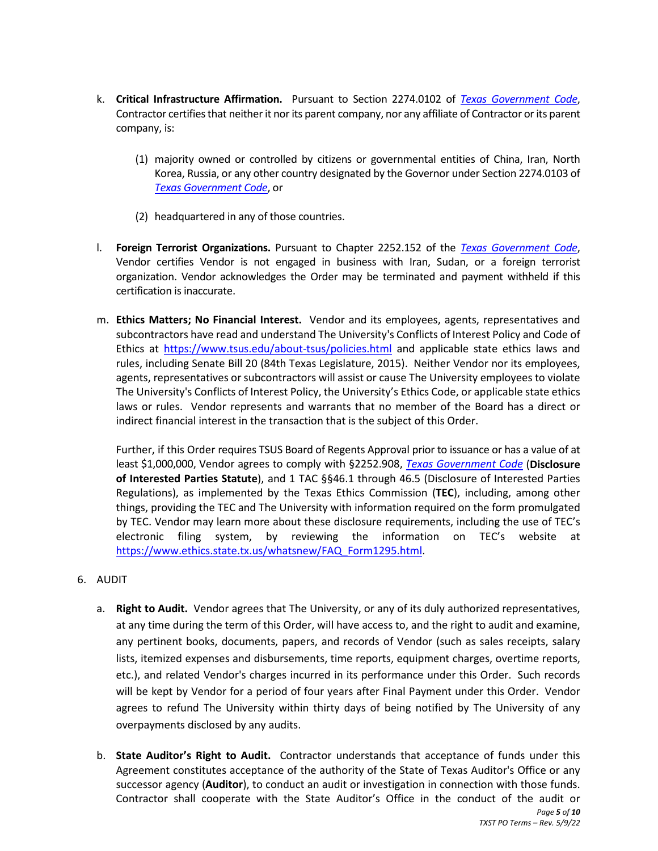- k. **Critical Infrastructure Affirmation.** Pursuant to Section 2274.0102 of *[Texas Government Code](https://statutes.capitol.texas.gov/)*, Contractor certifies that neither it nor its parent company, nor any affiliate of Contractor or its parent company, is:
	- (1) majority owned or controlled by citizens or governmental entities of China, Iran, North Korea, Russia, or any other country designated by the Governor under Section 2274.0103 of *[Texas Government Code](https://statutes.capitol.texas.gov/)*, or
	- (2) headquartered in any of those countries.
- l. **Foreign Terrorist Organizations.** Pursuant to Chapter 2252.152 of the *Texas [Government Code](https://statutes.capitol.texas.gov/)*, Vendor certifies Vendor is not engaged in business with Iran, Sudan, or a foreign terrorist organization. Vendor acknowledges the Order may be terminated and payment withheld if this certification is inaccurate.
- m. **Ethics Matters; No Financial Interest.** Vendor and its employees, agents, representatives and subcontractors have read and understand The University's Conflicts of Interest Policy and Code of Ethics at<https://www.tsus.edu/about-tsus/policies.html> and applicable state ethics laws and rules, including Senate Bill 20 (84th Texas Legislature, 2015). Neither Vendor nor its employees, agents, representatives or subcontractors will assist or cause The University employees to violate The University's Conflicts of Interest Policy, the University's Ethics Code, or applicable state ethics laws or rules. Vendor represents and warrants that no member of the Board has a direct or indirect financial interest in the transaction that is the subject of this Order.

Further, if this Order requires TSUS Board of Regents Approval prior to issuance or has a value of at least \$1,000,000, Vendor agrees to comply with §2252.908, *[Texas Government Code](https://statutes.capitol.texas.gov/)* (**Disclosure of Interested Parties Statute**), and 1 TAC §§46.1 through 46.5 (Disclosure of Interested Parties Regulations), as implemented by the Texas Ethics Commission (**TEC**), including, among other things, providing the TEC and The University with information required on the form promulgated by TEC. Vendor may learn more about these disclosure requirements, including the use of TEC's electronic filing system, by reviewing the information on TEC's website at [https://www.ethics.state.tx.us/whatsnew/FAQ\\_Form1295.html.](https://www.ethics.state.tx.us/whatsnew/FAQ_Form1295.html)

- 6. AUDIT
	- a. **Right to Audit.** Vendor agrees that The University, or any of its duly authorized representatives, at any time during the term of this Order, will have access to, and the right to audit and examine, any pertinent books, documents, papers, and records of Vendor (such as sales receipts, salary lists, itemized expenses and disbursements, time reports, equipment charges, overtime reports, etc.), and related Vendor's charges incurred in its performance under this Order. Such records will be kept by Vendor for a period of four years after Final Payment under this Order. Vendor agrees to refund The University within thirty days of being notified by The University of any overpayments disclosed by any audits.
	- b. **State Auditor's Right to Audit.** Contractor understands that acceptance of funds under this Agreement constitutes acceptance of the authority of the State of Texas Auditor's Office or any successor agency (**Auditor**), to conduct an audit or investigation in connection with those funds. Contractor shall cooperate with the State Auditor's Office in the conduct of the audit or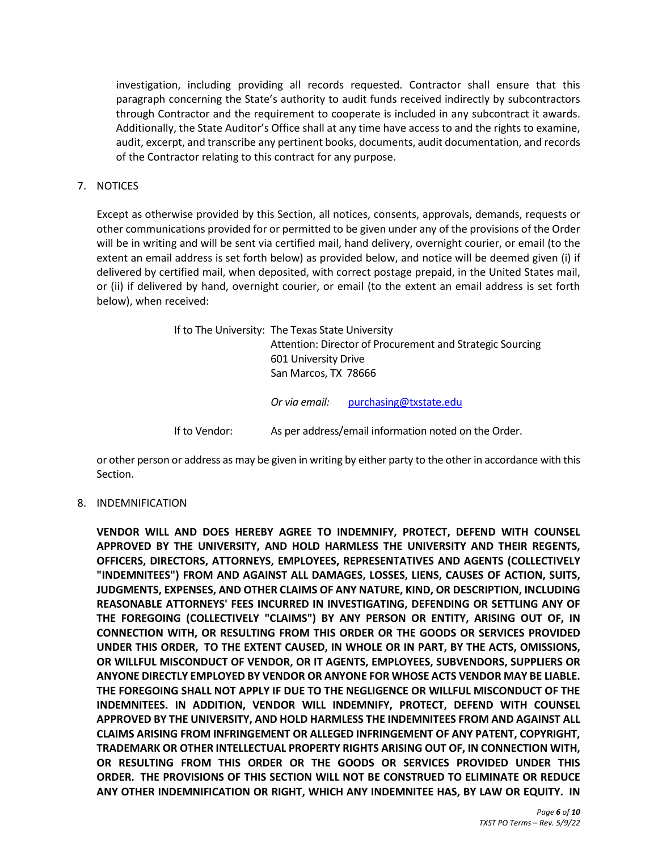investigation, including providing all records requested. Contractor shall ensure that this paragraph concerning the State's authority to audit funds received indirectly by subcontractors through Contractor and the requirement to cooperate is included in any subcontract it awards. Additionally, the State Auditor's Office shall at any time have access to and the rights to examine, audit, excerpt, and transcribe any pertinent books, documents, audit documentation, and records of the Contractor relating to this contract for any purpose.

## 7. NOTICES

Except as otherwise provided by this Section, all notices, consents, approvals, demands, requests or other communications provided for or permitted to be given under any of the provisions of the Order will be in writing and will be sent via certified mail, hand delivery, overnight courier, or email (to the extent an email address is set forth below) as provided below, and notice will be deemed given (i) if delivered by certified mail, when deposited, with correct postage prepaid, in the United States mail, or (ii) if delivered by hand, overnight courier, or email (to the extent an email address is set forth below), when received:

If to The University: The Texas State University

| Attention: Director of Procurement and Strategic Sourcing<br>601 University Drive<br>San Marcos, TX 78666 |                        |
|-----------------------------------------------------------------------------------------------------------|------------------------|
| Or via email:                                                                                             | purchasing@txstate.edu |

If to Vendor: As per address/email information noted on the Order.

or other person or address as may be given in writing by either party to the other in accordance with this Section.

8. INDEMNIFICATION

**VENDOR WILL AND DOES HEREBY AGREE TO INDEMNIFY, PROTECT, DEFEND WITH COUNSEL APPROVED BY THE UNIVERSITY, AND HOLD HARMLESS THE UNIVERSITY AND THEIR REGENTS, OFFICERS, DIRECTORS, ATTORNEYS, EMPLOYEES, REPRESENTATIVES AND AGENTS (COLLECTIVELY "INDEMNITEES") FROM AND AGAINST ALL DAMAGES, LOSSES, LIENS, CAUSES OF ACTION, SUITS, JUDGMENTS, EXPENSES, AND OTHER CLAIMS OF ANY NATURE, KIND, OR DESCRIPTION, INCLUDING REASONABLE ATTORNEYS' FEES INCURRED IN INVESTIGATING, DEFENDING OR SETTLING ANY OF THE FOREGOING (COLLECTIVELY "CLAIMS") BY ANY PERSON OR ENTITY, ARISING OUT OF, IN CONNECTION WITH, OR RESULTING FROM THIS ORDER OR THE GOODS OR SERVICES PROVIDED UNDER THIS ORDER, TO THE EXTENT CAUSED, IN WHOLE OR IN PART, BY THE ACTS, OMISSIONS, OR WILLFUL MISCONDUCT OF VENDOR, OR IT AGENTS, EMPLOYEES, SUBVENDORS, SUPPLIERS OR ANYONE DIRECTLY EMPLOYED BY VENDOR OR ANYONE FOR WHOSE ACTS VENDOR MAY BE LIABLE. THE FOREGOING SHALL NOT APPLY IF DUE TO THE NEGLIGENCE OR WILLFUL MISCONDUCT OF THE INDEMNITEES. IN ADDITION, VENDOR WILL INDEMNIFY, PROTECT, DEFEND WITH COUNSEL APPROVED BY THE UNIVERSITY, AND HOLD HARMLESS THE INDEMNITEES FROM AND AGAINST ALL CLAIMS ARISING FROM INFRINGEMENT OR ALLEGED INFRINGEMENT OF ANY PATENT, COPYRIGHT, TRADEMARK OR OTHER INTELLECTUAL PROPERTY RIGHTS ARISING OUT OF, IN CONNECTION WITH, OR RESULTING FROM THIS ORDER OR THE GOODS OR SERVICES PROVIDED UNDER THIS ORDER. THE PROVISIONS OF THIS SECTION WILL NOT BE CONSTRUED TO ELIMINATE OR REDUCE ANY OTHER INDEMNIFICATION OR RIGHT, WHICH ANY INDEMNITEE HAS, BY LAW OR EQUITY. IN**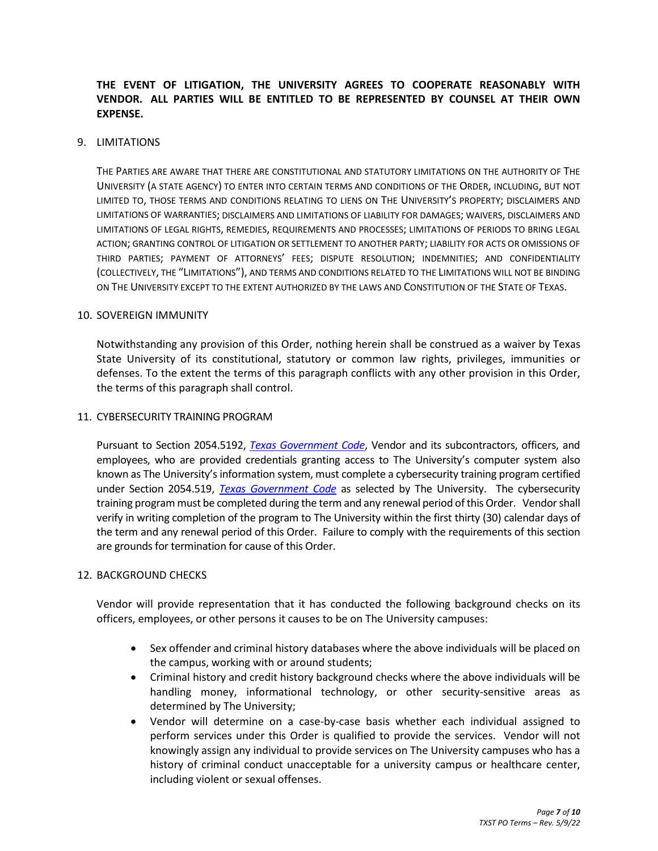# **THE EVENT OF LITIGATION, THE UNIVERSITY AGREES TO COOPERATE REASONABLY WITH VENDOR. ALL PARTIES WILL BE ENTITLED TO BE REPRESENTED BY COUNSEL AT THEIR OWN EXPENSE.**

### 9. LIMITATIONS

THE PARTIES ARE AWARE THAT THERE ARE CONSTITUTIONAL AND STATUTORY LIMITATIONS ON THE AUTHORITY OF THE UNIVERSITY (A STATE AGENCY) TO ENTER INTO CERTAIN TERMS AND CONDITIONS OF THE ORDER, INCLUDING, BUT NOT LIMITED TO, THOSE TERMS AND CONDITIONS RELATING TO LIENS ON THE UNIVERSITY'S PROPERTY; DISCLAIMERS AND LIMITATIONS OF WARRANTIES; DISCLAIMERS AND LIMITATIONS OF LIABILITY FOR DAMAGES; WAIVERS, DISCLAIMERS AND LIMITATIONS OF LEGAL RIGHTS, REMEDIES, REQUIREMENTS AND PROCESSES; LIMITATIONS OF PERIODS TO BRING LEGAL ACTION; GRANTING CONTROL OF LITIGATION OR SETTLEMENT TO ANOTHER PARTY; LIABILITY FOR ACTS OR OMISSIONS OF THIRD PARTIES; PAYMENT OF ATTORNEYS' FEES; DISPUTE RESOLUTION; INDEMNITIES; AND CONFIDENTIALITY (COLLECTIVELY, THE "LIMITATIONS"), AND TERMS AND CONDITIONS RELATED TO THE LIMITATIONS WILL NOT BE BINDING ON THE UNIVERSITY EXCEPT TO THE EXTENT AUTHORIZED BY THE LAWS AND CONSTITUTION OF THE STATE OF TEXAS.

### 10. SOVEREIGN IMMUNITY

Notwithstanding any provision of this Order, nothing herein shall be construed as a waiver by Texas State University of its constitutional, statutory or common law rights, privileges, immunities or defenses. To the extent the terms of this paragraph conflicts with any other provision in this Order, the terms of this paragraph shall control.

### 11. CYBERSECURITY TRAINING PROGRAM

Pursuant to Section 2054.5192, *[Texas Government Code](https://statutes.capitol.texas.gov/)*, Vendor and its subcontractors, officers, and employees, who are provided credentials granting access to The University's computer system also known as The University's information system, must complete a cybersecurity training program certified under Section 2054.519, *[Texas Government Code](https://statutes.capitol.texas.gov/)* as selected by The University. The cybersecurity training program must be completed during the term and any renewal period of this Order. Vendor shall verify in writing completion of the program to The University within the first thirty (30) calendar days of the term and any renewal period of this Order. Failure to comply with the requirements of this section are grounds for termination for cause of this Order.

## 12. BACKGROUND CHECKS

Vendor will provide representation that it has conducted the following background checks on its officers, employees, or other persons it causes to be on The University campuses:

- Sex offender and criminal history databases where the above individuals will be placed on the campus, working with or around students;
- Criminal history and credit history background checks where the above individuals will be handling money, informational technology, or other security-sensitive areas as determined by The University;
- Vendor will determine on a case-by-case basis whether each individual assigned to perform services under this Order is qualified to provide the services. Vendor will not knowingly assign any individual to provide services on The University campuses who has a history of criminal conduct unacceptable for a university campus or healthcare center, including violent or sexual offenses.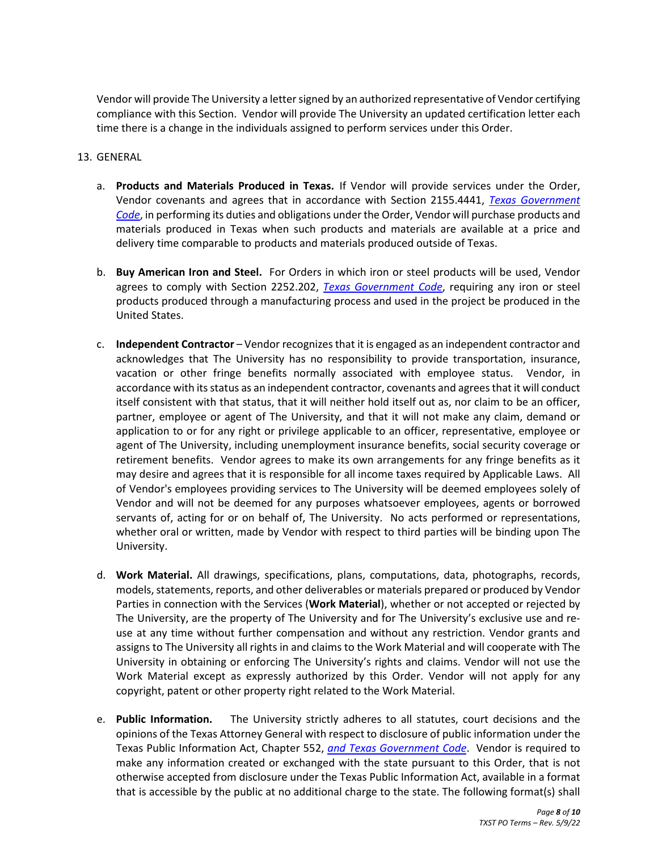Vendor will provide The University a letter signed by an authorized representative of Vendor certifying compliance with this Section. Vendor will provide The University an updated certification letter each time there is a change in the individuals assigned to perform services under this Order.

## 13. GENERAL

- a. **Products and Materials Produced in Texas.** If Vendor will provide services under the Order, Vendor covenants and agrees that in accordance with Section 2155.4441, *[Texas Government](https://statutes.capitol.texas.gov/)  [Code](https://statutes.capitol.texas.gov/)*, in performing its duties and obligations under the Order, Vendor will purchase products and materials produced in Texas when such products and materials are available at a price and delivery time comparable to products and materials produced outside of Texas.
- b. **Buy American Iron and Steel.** For Orders in which iron or steel products will be used, Vendor agrees to comply with Section 2252.202, *[Texas Government Code](https://statutes.capitol.texas.gov/)*, requiring any iron or steel products produced through a manufacturing process and used in the project be produced in the United States.
- c. **Independent Contractor** Vendor recognizes that it is engaged as an independent contractor and acknowledges that The University has no responsibility to provide transportation, insurance, vacation or other fringe benefits normally associated with employee status. Vendor, in accordance with its status as an independent contractor, covenants and agrees that it will conduct itself consistent with that status, that it will neither hold itself out as, nor claim to be an officer, partner, employee or agent of The University, and that it will not make any claim, demand or application to or for any right or privilege applicable to an officer, representative, employee or agent of The University, including unemployment insurance benefits, social security coverage or retirement benefits. Vendor agrees to make its own arrangements for any fringe benefits as it may desire and agrees that it is responsible for all income taxes required by Applicable Laws. All of Vendor's employees providing services to The University will be deemed employees solely of Vendor and will not be deemed for any purposes whatsoever employees, agents or borrowed servants of, acting for or on behalf of, The University. No acts performed or representations, whether oral or written, made by Vendor with respect to third parties will be binding upon The University.
- d. **Work Material.** All drawings, specifications, plans, computations, data, photographs, records, models, statements, reports, and other deliverables or materials prepared or produced by Vendor Parties in connection with the Services (**Work Material**), whether or not accepted or rejected by The University, are the property of The University and for The University's exclusive use and reuse at any time without further compensation and without any restriction. Vendor grants and assigns to The University all rights in and claims to the Work Material and will cooperate with The University in obtaining or enforcing The University's rights and claims. Vendor will not use the Work Material except as expressly authorized by this Order. Vendor will not apply for any copyright, patent or other property right related to the Work Material.
- e. **Public Information.** The University strictly adheres to all statutes, court decisions and the opinions of the Texas Attorney General with respect to disclosure of public information under the Texas Public Information Act, Chapter 552, *and Texas [Government Code](https://statutes.capitol.texas.gov/)*. Vendor is required to make any information created or exchanged with the state pursuant to this Order, that is not otherwise accepted from disclosure under the Texas Public Information Act, available in a format that is accessible by the public at no additional charge to the state. The following format(s) shall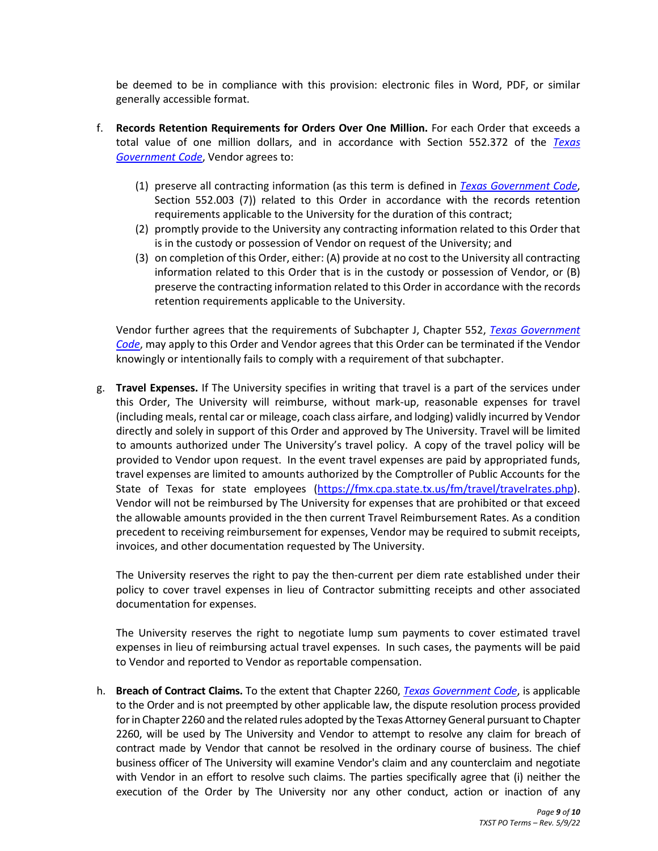be deemed to be in compliance with this provision: electronic files in Word, PDF, or similar generally accessible format.

- f. **Records Retention Requirements for Orders Over One Million.** For each Order that exceeds a total value of one million dollars, and in accordance with Section 552.372 of the *[Texas](https://statutes.capitol.texas.gov/)  [Government Code](https://statutes.capitol.texas.gov/)*, Vendor agrees to:
	- (1) preserve all contracting information (as this term is defined in *[Texas Government Code](https://statutes.capitol.texas.gov/)*, Section 552.003 (7)) related to this Order in accordance with the records retention requirements applicable to the University for the duration of this contract;
	- (2) promptly provide to the University any contracting information related to this Order that is in the custody or possession of Vendor on request of the University; and
	- (3) on completion of this Order, either: (A) provide at no cost to the University all contracting information related to this Order that is in the custody or possession of Vendor, or (B) preserve the contracting information related to this Order in accordance with the records retention requirements applicable to the University.

Vendor further agrees that the requirements of Subchapter J, Chapter 552, *[Texas Government](https://statutes.capitol.texas.gov/)  [Code](https://statutes.capitol.texas.gov/)*, may apply to this Order and Vendor agrees that this Order can be terminated if the Vendor knowingly or intentionally fails to comply with a requirement of that subchapter.

g. **Travel Expenses.** If The University specifies in writing that travel is a part of the services under this Order, The University will reimburse, without mark-up, reasonable expenses for travel (including meals, rental car or mileage, coach class airfare, and lodging) validly incurred by Vendor directly and solely in support of this Order and approved by The University. Travel will be limited to amounts authorized under The University's travel policy. A copy of the travel policy will be provided to Vendor upon request. In the event travel expenses are paid by appropriated funds, travel expenses are limited to amounts authorized by the Comptroller of Public Accounts for the State of Texas for state employees [\(https://fmx.cpa.state.tx.us/fm/travel/travelrates.php\)](https://fmx.cpa.state.tx.us/fm/travel/travelrates.php). Vendor will not be reimbursed by The University for expenses that are prohibited or that exceed the allowable amounts provided in the then current Travel Reimbursement Rates. As a condition precedent to receiving reimbursement for expenses, Vendor may be required to submit receipts, invoices, and other documentation requested by The University.

The University reserves the right to pay the then-current per diem rate established under their policy to cover travel expenses in lieu of Contractor submitting receipts and other associated documentation for expenses.

The University reserves the right to negotiate lump sum payments to cover estimated travel expenses in lieu of reimbursing actual travel expenses. In such cases, the payments will be paid to Vendor and reported to Vendor as reportable compensation.

h. **Breach of Contract Claims.** To the extent that Chapter 2260, *[Texas Government Code](https://statutes.capitol.texas.gov/)*, is applicable to the Order and is not preempted by other applicable law, the dispute resolution process provided for in Chapter 2260 and the related rules adopted by the Texas Attorney General pursuant to Chapter 2260, will be used by The University and Vendor to attempt to resolve any claim for breach of contract made by Vendor that cannot be resolved in the ordinary course of business. The chief business officer of The University will examine Vendor's claim and any counterclaim and negotiate with Vendor in an effort to resolve such claims. The parties specifically agree that (i) neither the execution of the Order by The University nor any other conduct, action or inaction of any